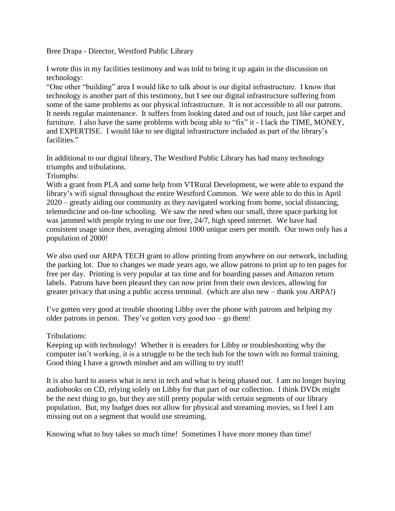Bree Drapa - Director, Westford Public Library

I wrote this in my facilities testimony and was told to bring it up again in the discussion on technology:

"One other "building" area I would like to talk about is our digital infrastructure. I know that technology is another part of this testimony, but I see our digital infrastructure suffering from some of the same problems as our physical infrastructure. It is not accessible to all our patrons. It needs regular maintenance. It suffers from looking dated and out of touch, just like carpet and furniture. I also have the same problems with being able to "fix" it - I lack the TIME, MONEY, and EXPERTISE. I would like to see digital infrastructure included as part of the library's facilities."

In additional to our digital library, The Westford Public Library has had many technology triumphs and tribulations.

Triumphs:

With a grant from PLA and some help from VTRural Development, we were able to expand the library's wifi signal throughout the entire Westford Common. We were able to do this in April 2020 – greatly aiding our community as they navigated working from home, social distancing, telemedicine and on-line schooling. We saw the need when our small, three space parking lot was jammed with people trying to use our free, 24/7, high speed internet. We have had consistent usage since then, averaging almost 1000 unique users per month. Our town only has a population of 2000!

We also used our ARPA TECH grant to allow printing from anywhere on our network, including the parking lot. Due to changes we made years ago, we allow patrons to print up to ten pages for free per day. Printing is very popular at tax time and for boarding passes and Amazon return labels. Patrons have been pleased they can now print from their own devices, allowing for greater privacy that using a public access terminal. (which are also new – thank you ARPA!)

I've gotten very good at trouble shooting Libby over the phone with patrons and helping my older patrons in person. They've gotten very good too – go them!

Tribulations:

Keeping up with technology! Whether it is ereaders for Libby or troubleshooting why the computer isn't working, it is a struggle to be the tech hub for the town with no formal training. Good thing I have a growth mindset and am willing to try stuff!

It is also hard to assess what is next in tech and what is being phased out. I am no longer buying audiobooks on CD, relying solely on Libby for that part of our collection. I think DVDs might be the next thing to go, but they are still pretty popular with certain segments of our library population. But, my budget does not allow for physical and streaming movies, so I feel I am missing out on a segment that would use streaming.

Knowing what to buy takes so much time! Sometimes I have more money than time!